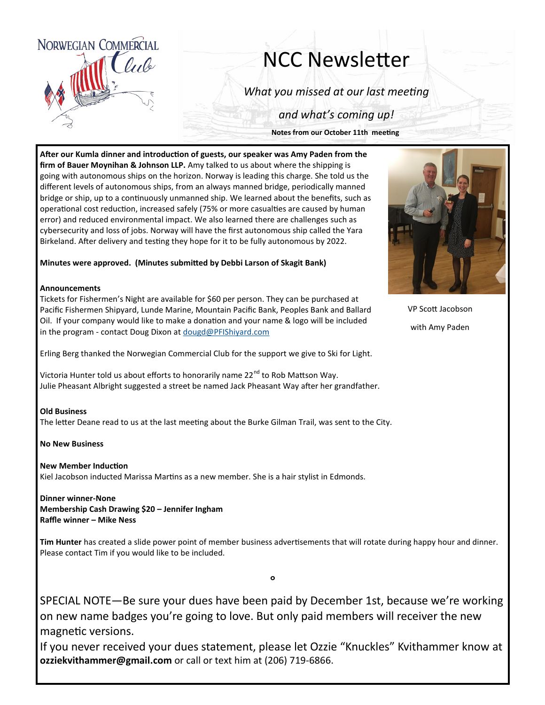

# NCC Newsletter

*What you missed at our last meeting*

*and what's coming up!*

**Notes from our October 11th meeting**

**After our Kumla dinner and introduction of guests, our speaker was Amy Paden from the firm of Bauer Moynihan & Johnson LLP.** Amy talked to us about where the shipping is going with autonomous ships on the horizon. Norway is leading this charge. She told us the different levels of autonomous ships, from an always manned bridge, periodically manned bridge or ship, up to a continuously unmanned ship. We learned about the benefits, such as operational cost reduction, increased safely (75% or more casualties are caused by human error) and reduced environmental impact. We also learned there are challenges such as cybersecurity and loss of jobs. Norway will have the first autonomous ship called the Yara Birkeland. After delivery and testing they hope for it to be fully autonomous by 2022.

**Minutes were approved. (Minutes submitted by Debbi Larson of Skagit Bank)**

#### **Announcements**

Tickets for Fishermen's Night are available for \$60 per person. They can be purchased at Pacific Fishermen Shipyard, Lunde Marine, Mountain Pacific Bank, Peoples Bank and Ballard Oil. If your company would like to make a donation and your name & logo will be included in the program - contact Doug Dixon at [dougd@PFIShiyard.com](mailto:dougd@PFIShiyard.com)

Erling Berg thanked the Norwegian Commercial Club for the support we give to Ski for Light.

Victoria Hunter told us about efforts to honorarily name 22<sup>nd</sup> to Rob Mattson Way. Julie Pheasant Albright suggested a street be named Jack Pheasant Way after her grandfather.

#### **Old Business**

The letter Deane read to us at the last meeting about the Burke Gilman Trail, was sent to the City.

**No New Business**

#### **New Member Induction**

Kiel Jacobson inducted Marissa Martins as a new member. She is a hair stylist in Edmonds.

## **Dinner winner-None**

**Membership Cash Drawing \$20 – Jennifer Ingham Raffle winner – Mike Ness**

**Tim Hunter** has created a slide power point of member business advertisements that will rotate during happy hour and dinner. Please contact Tim if you would like to be included.

SPECIAL NOTE—Be sure your dues have been paid by December 1st, because we're working on new name badges you're going to love. But only paid members will receiver the new magnetic versions.

°

If you never received your dues statement, please let Ozzie "Knuckles" Kvithammer know at **ozziekvithammer@gmail.com** or call or text him at (206) 719-6866.



VP Scott Jacobson with Amy Paden